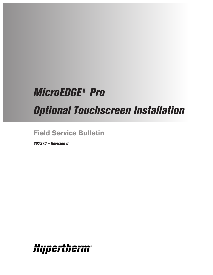# *MicroEDGE® Pro*

*Optional Touchscreen Installation*

**Field Service Bulletin**

*807370 – Revision 0*

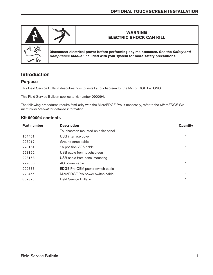

# **Introduction**

#### **Purpose**

This Field Service Bulletin describes how to install a touchscreen for the MicroEDGE Pro CNC.

This Field Service Bulletin applies to kit number 090094.

The following procedures require familiarity with the MicroEDGE Pro. If necessary, refer to the *MicroEDGE Pro Instruction Manual* for detailed information.

#### **Kit 090094 contents**

| <b>Part number</b> | <b>Description</b>                  | Quantity |
|--------------------|-------------------------------------|----------|
|                    | Touchscreen mounted on a flat panel |          |
| 104451             | USB interface cover                 |          |
| 223017             | Ground strap cable                  |          |
| 223161             | 15 position VGA cable               |          |
| 223162             | USB cable from touchscreen          |          |
| 223163             | USB cable from panel mounting       |          |
| 229380             | AC power cable                      |          |
| 229383             | EDGE Pro OEM power switch cable     |          |
| 229455             | MicroEDGE Pro power switch cable    |          |
| 807370             | <b>Field Service Bulletin</b>       |          |
|                    |                                     |          |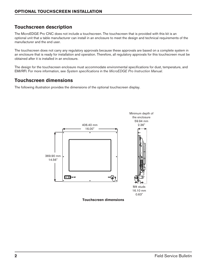# **Touchscreen description**

The MicroEDGE Pro CNC does not include a touchscreen. The touchscreen that is provided with this kit is an optional unit that a table manufacturer can install in an enclosure to meet the design and technical requirements of the manufacturer and the end user.

The touchscreen does not carry any regulatory approvals because these approvals are based on a complete system in an enclosure that is ready for installation and operation. Therefore, all regulatory approvals for this touchscreen must be obtained after it is installed in an enclosure.

The design for the touchscreen enclosure must accommodate environmental specifications for dust, temperature, and EMI/RFI. For more information, see *System specifications* in the *MicroEDGE Pro Instruction Manual*.

### **Touchscreen dimensions**

The following illustration provides the dimensions of the optional touchscreen display.

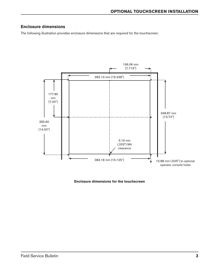#### **Enclosure dimensions**

The following illustration provides enclosure dimensions that are required for the touchscreen.



**Enclosure dimensions for the touchscreen**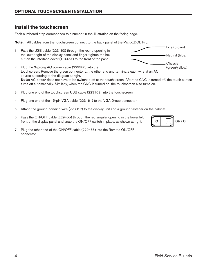#### **Optional Touchscreen Installation**

## **Install the touchscreen**

Each numbered step corresponds to a number in the illustration on the facing page.

**Note:** All cables from the touchscreen connect to the back panel of the MicroEDGE Pro.



- 2. Plug the 3-prong AC power cable (229380) into the touchscreen. Remove the green connector at the other end and terminate each wire at an AC source according to the diagram at right. **Note:** AC power does not have to be switched off at the touchscreen. After the CNC is turned off, the touch screen turns off automatically. Similarly, when the CNC is turned on, the touchscreen also turns on. (green/yellow)
- 3. Plug one end of the touchscreen USB cable (223162) into the touchscreen.
- 4. Plug one end of the 15-pin VGA cable (223161) to the VGA D-sub connector.
- 5. Attach the ground bonding wire (223017) to the display unit and a ground fastener on the cabinet.
- 6. Pass the ON/OFF cable (229455) through the rectangular opening in the lower left front of the display panel and snap the ON/OFF switch in place, as shown at right.
- 7. Plug the other end of the ON/OFF cable (229455) into the Remote ON/OFF connector.



Line (brown)

Neutral (blue)

Chassis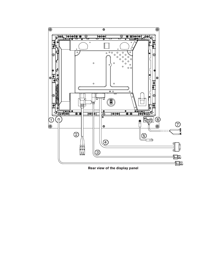

**Rear view of the display panel**